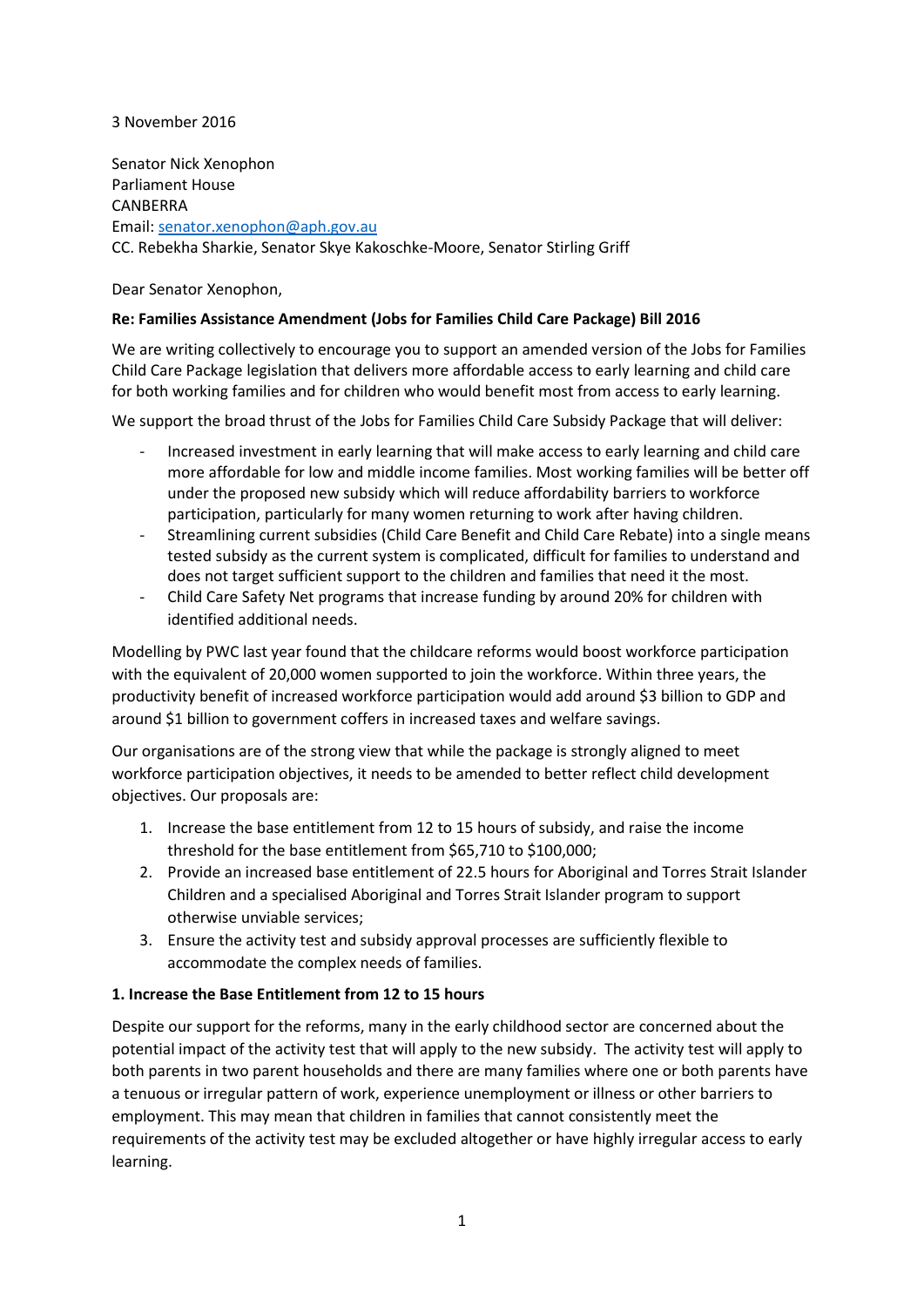## 3 November 2016

Senator Nick Xenophon Parliament House CANBERRA Email: [senator.xenophon@aph.gov.au](mailto:senator.xenophon@aph.gov.au) CC. Rebekha Sharkie, Senator Skye Kakoschke-Moore, Senator Stirling Griff

Dear Senator Xenophon,

## **Re: Families Assistance Amendment (Jobs for Families Child Care Package) Bill 2016**

We are writing collectively to encourage you to support an amended version of the Jobs for Families Child Care Package legislation that delivers more affordable access to early learning and child care for both working families and for children who would benefit most from access to early learning.

We support the broad thrust of the Jobs for Families Child Care Subsidy Package that will deliver:

- Increased investment in early learning that will make access to early learning and child care more affordable for low and middle income families. Most working families will be better off under the proposed new subsidy which will reduce affordability barriers to workforce participation, particularly for many women returning to work after having children.
- Streamlining current subsidies (Child Care Benefit and Child Care Rebate) into a single means tested subsidy as the current system is complicated, difficult for families to understand and does not target sufficient support to the children and families that need it the most.
- Child Care Safety Net programs that increase funding by around 20% for children with identified additional needs.

Modelling by PWC last year found that the childcare reforms would boost workforce participation with the equivalent of 20,000 women supported to join the workforce. Within three years, the productivity benefit of increased workforce participation would add around \$3 billion to GDP and around \$1 billion to government coffers in increased taxes and welfare savings.

Our organisations are of the strong view that while the package is strongly aligned to meet workforce participation objectives, it needs to be amended to better reflect child development objectives. Our proposals are:

- 1. Increase the base entitlement from 12 to 15 hours of subsidy, and raise the income threshold for the base entitlement from \$65,710 to \$100,000;
- 2. Provide an increased base entitlement of 22.5 hours for Aboriginal and Torres Strait Islander Children and a specialised Aboriginal and Torres Strait Islander program to support otherwise unviable services;
- 3. Ensure the activity test and subsidy approval processes are sufficiently flexible to accommodate the complex needs of families.

# **1. Increase the Base Entitlement from 12 to 15 hours**

Despite our support for the reforms, many in the early childhood sector are concerned about the potential impact of the activity test that will apply to the new subsidy. The activity test will apply to both parents in two parent households and there are many families where one or both parents have a tenuous or irregular pattern of work, experience unemployment or illness or other barriers to employment. This may mean that children in families that cannot consistently meet the requirements of the activity test may be excluded altogether or have highly irregular access to early learning.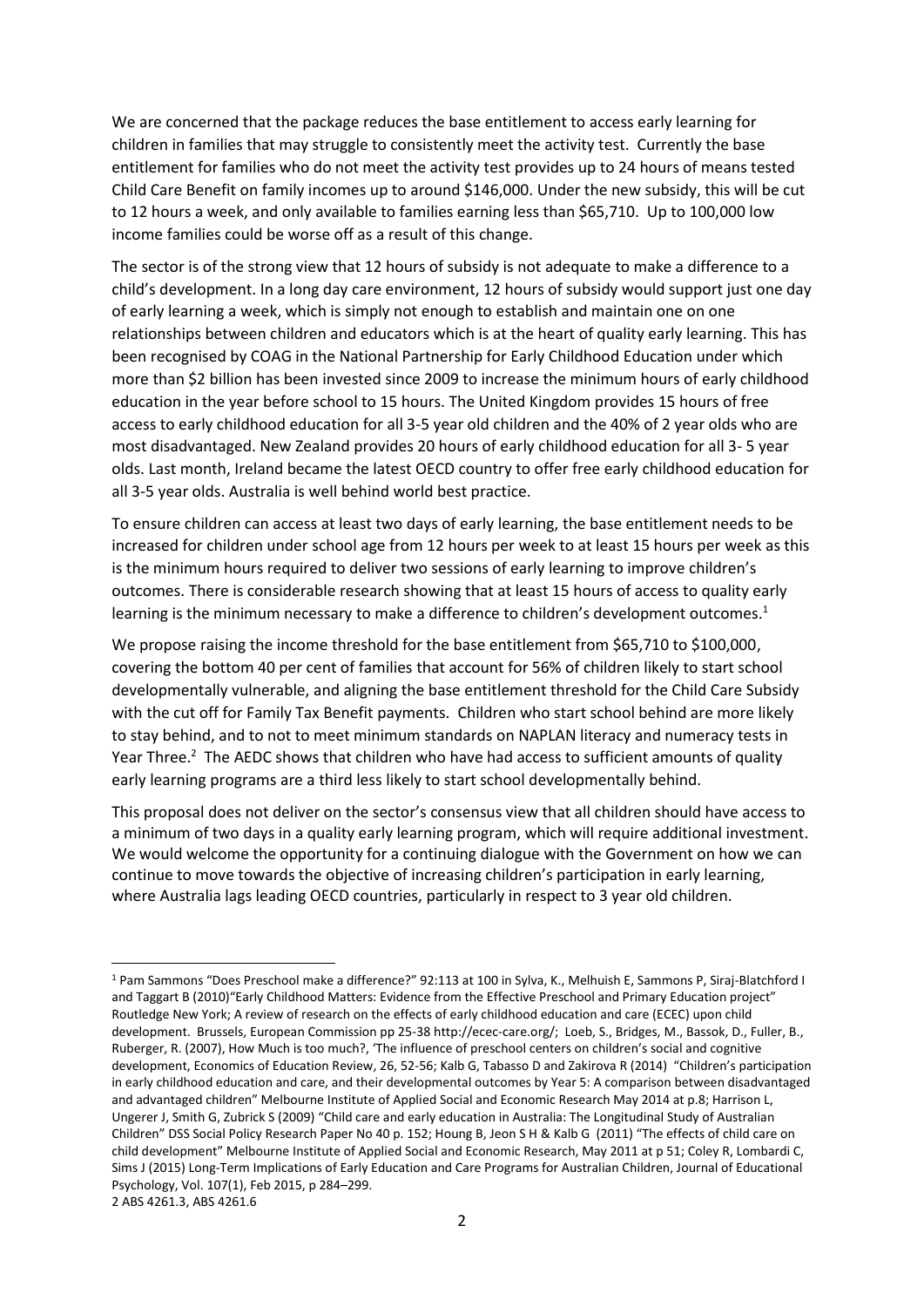We are concerned that the package reduces the base entitlement to access early learning for children in families that may struggle to consistently meet the activity test. Currently the base entitlement for families who do not meet the activity test provides up to 24 hours of means tested Child Care Benefit on family incomes up to around \$146,000. Under the new subsidy, this will be cut to 12 hours a week, and only available to families earning less than \$65,710. Up to 100,000 low income families could be worse off as a result of this change.

The sector is of the strong view that 12 hours of subsidy is not adequate to make a difference to a child's development. In a long day care environment, 12 hours of subsidy would support just one day of early learning a week, which is simply not enough to establish and maintain one on one relationships between children and educators which is at the heart of quality early learning. This has been recognised by COAG in the National Partnership for Early Childhood Education under which more than \$2 billion has been invested since 2009 to increase the minimum hours of early childhood education in the year before school to 15 hours. The United Kingdom provides 15 hours of free access to early childhood education for all 3-5 year old children and the 40% of 2 year olds who are most disadvantaged. New Zealand provides 20 hours of early childhood education for all 3- 5 year olds. Last month, Ireland became the latest OECD country to offer free early childhood education for all 3-5 year olds. Australia is well behind world best practice.

To ensure children can access at least two days of early learning, the base entitlement needs to be increased for children under school age from 12 hours per week to at least 15 hours per week as this is the minimum hours required to deliver two sessions of early learning to improve children's outcomes. There is considerable research showing that at least 15 hours of access to quality early learning is the minimum necessary to make a difference to children's development outcomes.<sup>1</sup>

We propose raising the income threshold for the base entitlement from \$65,710 to \$100,000, covering the bottom 40 per cent of families that account for 56% of children likely to start school developmentally vulnerable, and aligning the base entitlement threshold for the Child Care Subsidy with the cut off for Family Tax Benefit payments. Children who start school behind are more likely to stay behind, and to not to meet minimum standards on NAPLAN literacy and numeracy tests in Year Three.<sup>2</sup> The AEDC shows that children who have had access to sufficient amounts of quality early learning programs are a third less likely to start school developmentally behind.

This proposal does not deliver on the sector's consensus view that all children should have access to a minimum of two days in a quality early learning program, which will require additional investment. We would welcome the opportunity for a continuing dialogue with the Government on how we can continue to move towards the objective of increasing children's participation in early learning, where Australia lags leading OECD countries, particularly in respect to 3 year old children.

**.** 

<sup>1</sup> Pam Sammons "Does Preschool make a difference?" 92:113 at 100 in Sylva, K., Melhuish E, Sammons P, Siraj-Blatchford I and Taggart B (2010)"Early Childhood Matters: Evidence from the Effective Preschool and Primary Education project" Routledge New York; A review of research on the effects of early childhood education and care (ECEC) upon child development. Brussels, European Commission pp 25-3[8 http://ecec-care.org/;](http://ecec-care.org/) Loeb, S., Bridges, M., Bassok, D., Fuller, B., Ruberger, R. (2007), How Much is too much?, 'The influence of preschool centers on children's social and cognitive development, Economics of Education Review, 26, 52-56; Kalb G, Tabasso D and Zakirova R (2014) "Children's participation in early childhood education and care, and their developmental outcomes by Year 5: A comparison between disadvantaged and advantaged children" Melbourne Institute of Applied Social and Economic Research May 2014 at p.8; Harrison L, Ungerer J, Smith G, Zubrick S (2009) "Child care and early education in Australia: The Longitudinal Study of Australian Children" DSS Social Policy Research Paper No 40 p. 152; Houng B, Jeon S H & Kalb G (2011) "The effects of child care on child development" Melbourne Institute of Applied Social and Economic Research, May 2011 at p 51; Coley R, Lombardi C, Sims J (2015) Long-Term Implications of Early Education and Care Programs for Australian Children, Journal of Educational Psychology, Vol. 107(1), Feb 2015, p 284–299.

<sup>2</sup> ABS 4261.3, ABS 4261.6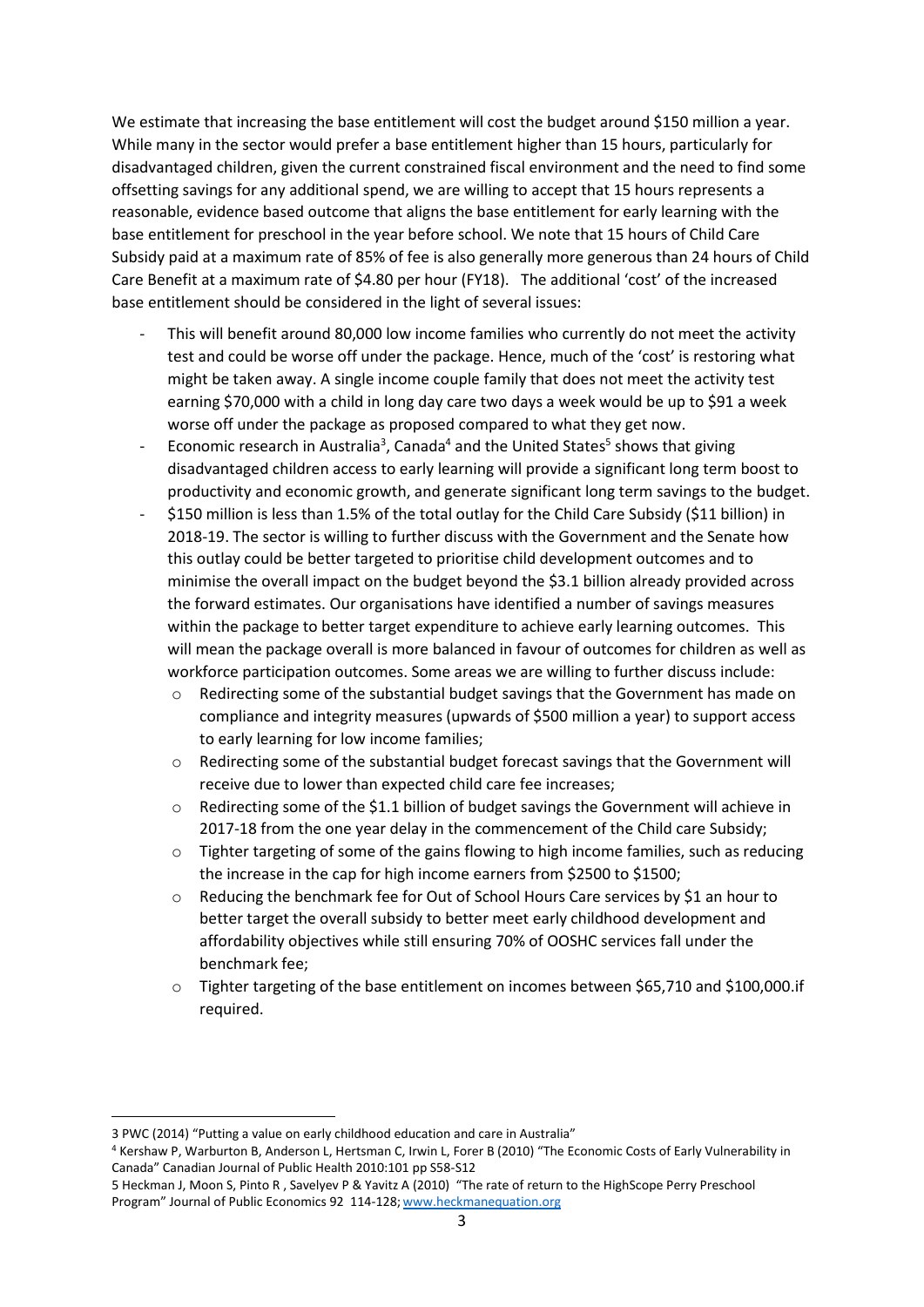We estimate that increasing the base entitlement will cost the budget around \$150 million a year. While many in the sector would prefer a base entitlement higher than 15 hours, particularly for disadvantaged children, given the current constrained fiscal environment and the need to find some offsetting savings for any additional spend, we are willing to accept that 15 hours represents a reasonable, evidence based outcome that aligns the base entitlement for early learning with the base entitlement for preschool in the year before school. We note that 15 hours of Child Care Subsidy paid at a maximum rate of 85% of fee is also generally more generous than 24 hours of Child Care Benefit at a maximum rate of \$4.80 per hour (FY18). The additional 'cost' of the increased base entitlement should be considered in the light of several issues:

- This will benefit around 80,000 low income families who currently do not meet the activity test and could be worse off under the package. Hence, much of the 'cost' is restoring what might be taken away. A single income couple family that does not meet the activity test earning \$70,000 with a child in long day care two days a week would be up to \$91 a week worse off under the package as proposed compared to what they get now.
- Economic research in Australia<sup>3</sup>, Canada<sup>4</sup> and the United States<sup>5</sup> shows that giving disadvantaged children access to early learning will provide a significant long term boost to productivity and economic growth, and generate significant long term savings to the budget.
- \$150 million is less than 1.5% of the total outlay for the Child Care Subsidy (\$11 billion) in 2018-19. The sector is willing to further discuss with the Government and the Senate how this outlay could be better targeted to prioritise child development outcomes and to minimise the overall impact on the budget beyond the \$3.1 billion already provided across the forward estimates. Our organisations have identified a number of savings measures within the package to better target expenditure to achieve early learning outcomes. This will mean the package overall is more balanced in favour of outcomes for children as well as workforce participation outcomes. Some areas we are willing to further discuss include:
	- Redirecting some of the substantial budget savings that the Government has made on compliance and integrity measures (upwards of \$500 million a year) to support access to early learning for low income families;
	- $\circ$  Redirecting some of the substantial budget forecast savings that the Government will receive due to lower than expected child care fee increases;
	- o Redirecting some of the \$1.1 billion of budget savings the Government will achieve in 2017-18 from the one year delay in the commencement of the Child care Subsidy;
	- o Tighter targeting of some of the gains flowing to high income families, such as reducing the increase in the cap for high income earners from \$2500 to \$1500;
	- o Reducing the benchmark fee for Out of School Hours Care services by \$1 an hour to better target the overall subsidy to better meet early childhood development and affordability objectives while still ensuring 70% of OOSHC services fall under the benchmark fee;
	- $\circ$  Tighter targeting of the base entitlement on incomes between \$65,710 and \$100,000.if required.

**.** 

<sup>3</sup> PWC (2014) "Putting a value on early childhood education and care in Australia"

<sup>4</sup> Kershaw P, Warburton B, Anderson L, Hertsman C, Irwin L, Forer B (2010) "The Economic Costs of Early Vulnerability in Canada" Canadian Journal of Public Health 2010:101 pp S58-S12

<sup>5</sup> Heckman J, Moon S, Pinto R , Savelyev P & Yavitz A (2010) "The rate of return to the HighScope Perry Preschool Program" Journal of Public Economics 92 114-128; [www.heckmanequation.org](http://www.heckmanequation.org/)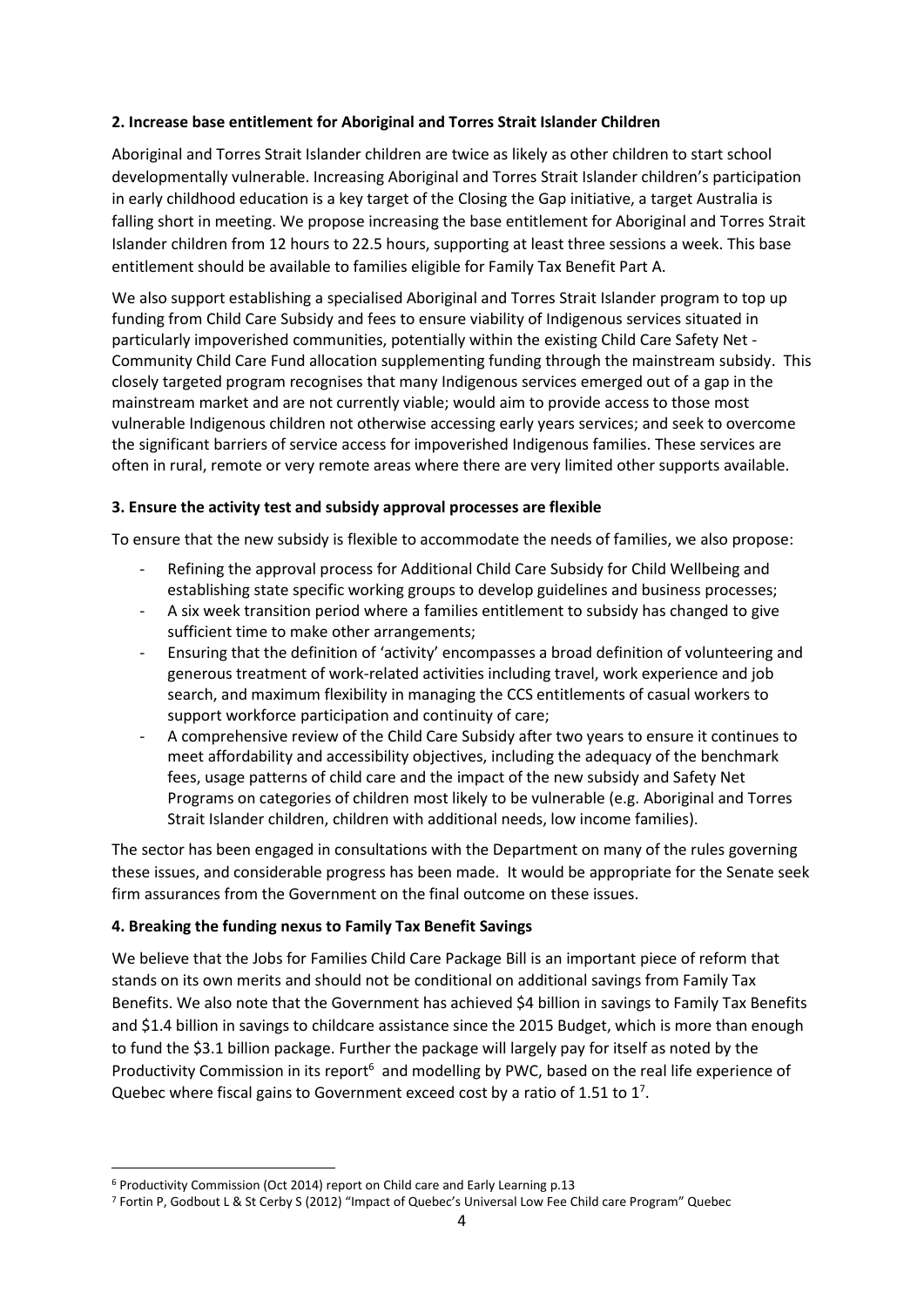## **2. Increase base entitlement for Aboriginal and Torres Strait Islander Children**

Aboriginal and Torres Strait Islander children are twice as likely as other children to start school developmentally vulnerable. Increasing Aboriginal and Torres Strait Islander children's participation in early childhood education is a key target of the Closing the Gap initiative, a target Australia is falling short in meeting. We propose increasing the base entitlement for Aboriginal and Torres Strait Islander children from 12 hours to 22.5 hours, supporting at least three sessions a week. This base entitlement should be available to families eligible for Family Tax Benefit Part A.

We also support establishing a specialised Aboriginal and Torres Strait Islander program to top up funding from Child Care Subsidy and fees to ensure viability of Indigenous services situated in particularly impoverished communities, potentially within the existing Child Care Safety Net - Community Child Care Fund allocation supplementing funding through the mainstream subsidy. This closely targeted program recognises that many Indigenous services emerged out of a gap in the mainstream market and are not currently viable; would aim to provide access to those most vulnerable Indigenous children not otherwise accessing early years services; and seek to overcome the significant barriers of service access for impoverished Indigenous families. These services are often in rural, remote or very remote areas where there are very limited other supports available.

### **3. Ensure the activity test and subsidy approval processes are flexible**

To ensure that the new subsidy is flexible to accommodate the needs of families, we also propose:

- Refining the approval process for Additional Child Care Subsidy for Child Wellbeing and establishing state specific working groups to develop guidelines and business processes;
- A six week transition period where a families entitlement to subsidy has changed to give sufficient time to make other arrangements;
- Ensuring that the definition of 'activity' encompasses a broad definition of volunteering and generous treatment of work-related activities including travel, work experience and job search, and maximum flexibility in managing the CCS entitlements of casual workers to support workforce participation and continuity of care;
- A comprehensive review of the Child Care Subsidy after two years to ensure it continues to meet affordability and accessibility objectives, including the adequacy of the benchmark fees, usage patterns of child care and the impact of the new subsidy and Safety Net Programs on categories of children most likely to be vulnerable (e.g. Aboriginal and Torres Strait Islander children, children with additional needs, low income families).

The sector has been engaged in consultations with the Department on many of the rules governing these issues, and considerable progress has been made. It would be appropriate for the Senate seek firm assurances from the Government on the final outcome on these issues.

# **4. Breaking the funding nexus to Family Tax Benefit Savings**

We believe that the Jobs for Families Child Care Package Bill is an important piece of reform that stands on its own merits and should not be conditional on additional savings from Family Tax Benefits. We also note that the Government has achieved \$4 billion in savings to Family Tax Benefits and \$1.4 billion in savings to childcare assistance since the 2015 Budget, which is more than enough to fund the \$3.1 billion package. Further the package will largely pay for itself as noted by the Productivity Commission in its report<sup>6</sup> and modelling by PWC, based on the real life experience of Quebec where fiscal gains to Government exceed cost by a ratio of 1.51 to  $1<sup>7</sup>$ .

**.** 

<sup>6</sup> Productivity Commission (Oct 2014) report on Child care and Early Learning p.13

<sup>7</sup> Fortin P, Godbout L & St Cerby S (2012) "Impact of Quebec's Universal Low Fee Child care Program" Quebec